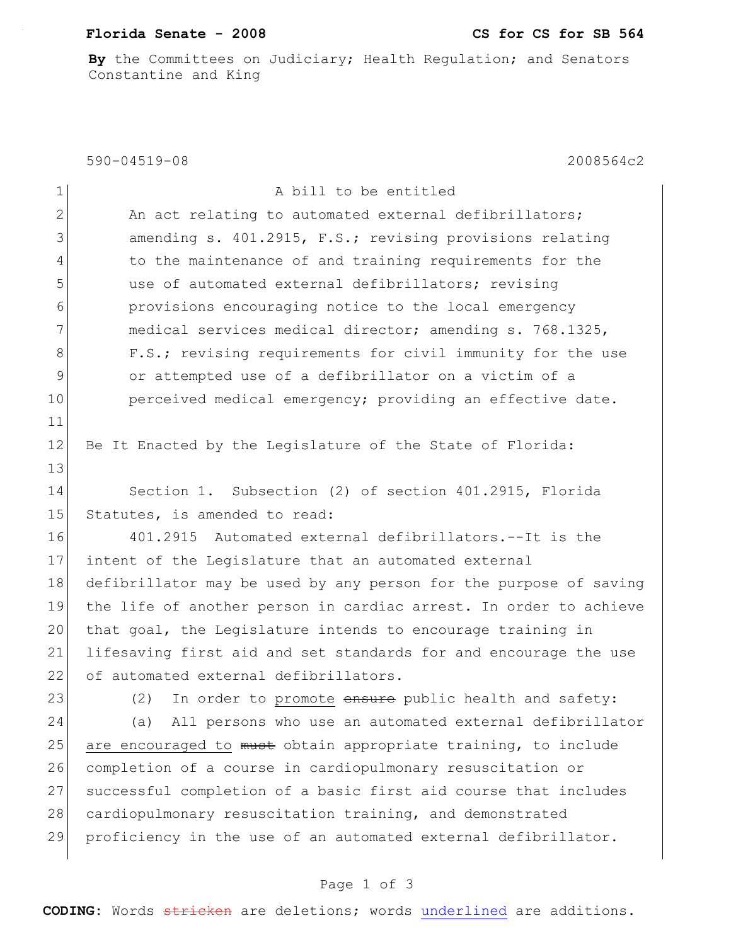## **Florida Senate - 2008 CS for CS for SB 564**

**By** the Committees on Judiciary; Health Regulation; and Senators Constantine and King

590-04519-08 2008564c2

| $\mathbf 1$   | A bill to be entitled                                             |
|---------------|-------------------------------------------------------------------|
| $\mathbf{2}$  | An act relating to automated external defibrillators;             |
| $\mathcal{S}$ | amending s. 401.2915, F.S.; revising provisions relating          |
| 4             | to the maintenance of and training requirements for the           |
| 5             | use of automated external defibrillators; revising                |
| 6             | provisions encouraging notice to the local emergency              |
| 7             | medical services medical director; amending s. 768.1325,          |
| 8             | F.S.; revising requirements for civil immunity for the use        |
| 9             | or attempted use of a defibrillator on a victim of a              |
| 10            | perceived medical emergency; providing an effective date.         |
| 11            |                                                                   |
| 12            | Be It Enacted by the Legislature of the State of Florida:         |
| 13            |                                                                   |
| 14            | Section 1. Subsection (2) of section 401.2915, Florida            |
| 15            | Statutes, is amended to read:                                     |
| 16            | 401.2915 Automated external defibrillators.--It is the            |
| 17            | intent of the Legislature that an automated external              |
| 18            | defibrillator may be used by any person for the purpose of saving |
| 19            | the life of another person in cardiac arrest. In order to achieve |
| 20            | that goal, the Legislature intends to encourage training in       |
| 21            | lifesaving first aid and set standards for and encourage the use  |
| 22            | of automated external defibrillators.                             |
| 23            | In order to promote ensure public health and safety:<br>(2)       |
| 24            | All persons who use an automated external defibrillator<br>(a)    |
| 25            | are encouraged to must obtain appropriate training, to include    |
| 26            | completion of a course in cardiopulmonary resuscitation or        |
| 27            | successful completion of a basic first aid course that includes   |
| 28            | cardiopulmonary resuscitation training, and demonstrated          |
| 29            | proficiency in the use of an automated external defibrillator.    |
|               |                                                                   |

## Page 1 of 3

**CODING:** Words stricken are deletions; words underlined are additions.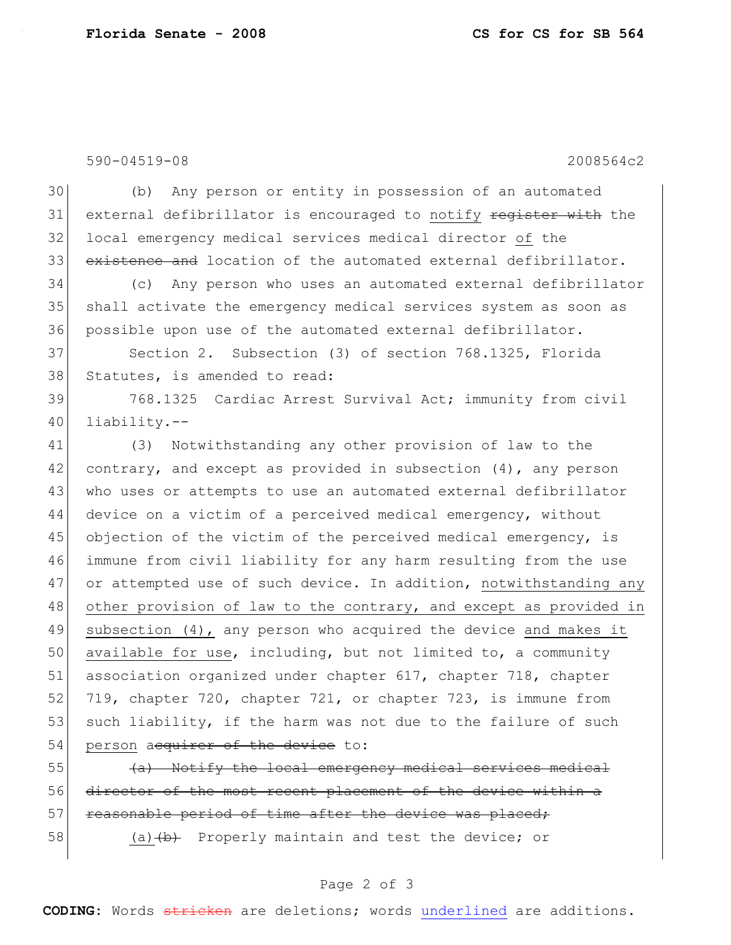590-04519-08 2008564c2

30 (b) Any person or entity in possession of an automated 31 external defibrillator is encouraged to notify register with the 32 local emergency medical services medical director of the 33 existence and location of the automated external defibrillator.

34 (c) Any person who uses an automated external defibrillator 35 shall activate the emergency medical services system as soon as 36 possible upon use of the automated external defibrillator.

37 Section 2. Subsection (3) of section 768.1325, Florida 38 Statutes, is amended to read:

39 768.1325 Cardiac Arrest Survival Act; immunity from civil 40 liability.--

41 (3) Notwithstanding any other provision of law to the 42 contrary, and except as provided in subsection  $(4)$ , any person 43 who uses or attempts to use an automated external defibrillator 44 device on a victim of a perceived medical emergency, without 45 objection of the victim of the perceived medical emergency, is 46 immune from civil liability for any harm resulting from the use 47 or attempted use of such device. In addition, notwithstanding any 48 other provision of law to the contrary, and except as provided in 49 subsection (4), any person who acquired the device and makes it 50 available for use, including, but not limited to, a community 51 association organized under chapter 617, chapter 718, chapter 52 719, chapter 720, chapter 721, or chapter 723, is immune from 53 such liability, if the harm was not due to the failure of such 54 person acquirer of the device to:

 $\left\{\left(\frac{a}{b}\right)\right\}$  Notify the local emergency medical services medical 56 director of the most recent placement of the device within a 57 reasonable period of time after the device was placed;

58 (a) (a) Ab Properly maintain and test the device; or

## Page 2 of 3

**CODING:** Words stricken are deletions; words underlined are additions.